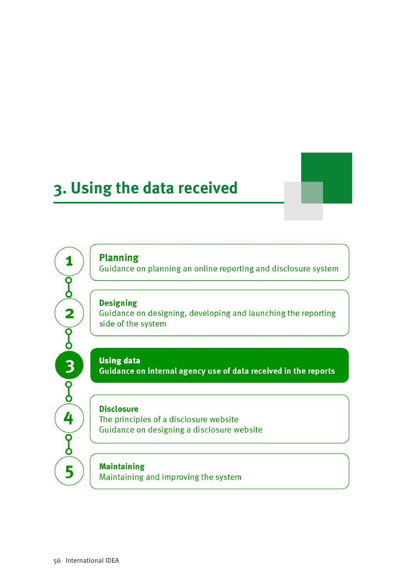# 3. Using the data received



**Planning** 

1

 $\overline{\mathsf{P}}$ 

 $\overline{\mathbf{2}}$ 

 $\overline{\mathfrak{g}}$ 

 $\frac{3}{2}$ 

4

 $\overline{\widetilde{\mathsf{g}}}$ 

5

Guidance on planning an online reporting and disclosure system

#### **Designing**

Guidance on designing, developing and launching the reporting side of the system

## **Using data**

Guidance on internal agency use of data received in the reports

## **Disclosure**

The principles of a disclosure website Guidance on designing a disclosure website

## **Maintaining**

Maintaining and improving the system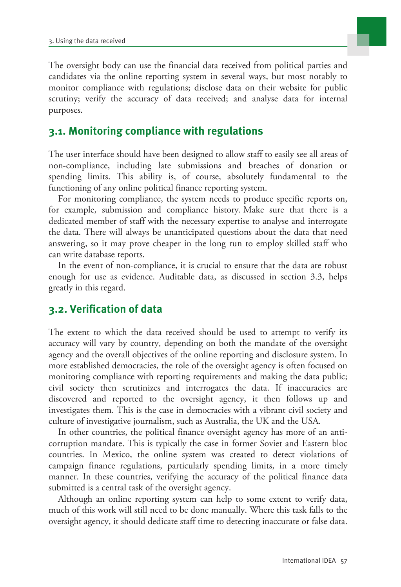

The oversight body can use the financial data received from political parties and candidates via the online reporting system in several ways, but most notably to monitor compliance with regulations; disclose data on their website for public scrutiny; verify the accuracy of data received; and analyse data for internal purposes.

## **3.1. Monitoring compliance with regulations**

The user interface should have been designed to allow staff to easily see all areas of non-compliance, including late submissions and breaches of donation or spending limits. This ability is, of course, absolutely fundamental to the functioning of any online political finance reporting system.

For monitoring compliance, the system needs to produce specific reports on, for example, submission and compliance history. Make sure that there is a dedicated member of staff with the necessary expertise to analyse and interrogate the data. There will always be unanticipated questions about the data that need answering, so it may prove cheaper in the long run to employ skilled staff who can write database reports.

In the event of non-compliance, it is crucial to ensure that the data are robust enough for use as evidence. Auditable data, as discussed in section 3.3, helps greatly in this regard.

# **3.2. Verification of data**

The extent to which the data received should be used to attempt to verify its accuracy will vary by country, depending on both the mandate of the oversight agency and the overall objectives of the online reporting and disclosure system. In more established democracies, the role of the oversight agency is often focused on monitoring compliance with reporting requirements and making the data public; civil society then scrutinizes and interrogates the data. If inaccuracies are discovered and reported to the oversight agency, it then follows up and investigates them. This is the case in democracies with a vibrant civil society and culture of investigative journalism, such as Australia, the UK and the USA.

In other countries, the political finance oversight agency has more of an anticorruption mandate. This is typically the case in former Soviet and Eastern bloc countries. In Mexico, the online system was created to detect violations of campaign finance regulations, particularly spending limits, in a more timely manner. In these countries, verifying the accuracy of the political finance data submitted is a central task of the oversight agency.

Although an online reporting system can help to some extent to verify data, much of this work will still need to be done manually. Where this task falls to the oversight agency, it should dedicate staff time to detecting inaccurate or false data.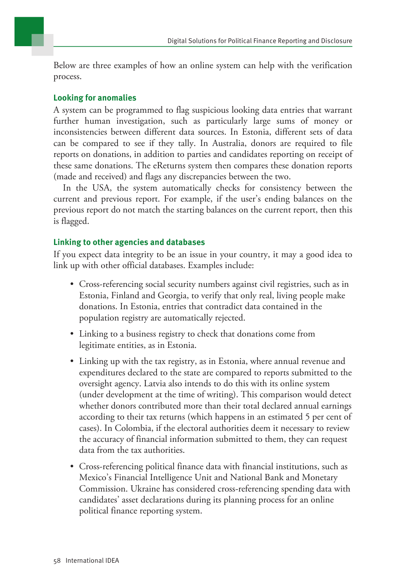

Below are three examples of how an online system can help with the verification process.

### **Looking for anomalies**

A system can be programmed to flag suspicious looking data entries that warrant further human investigation, such as particularly large sums of money or inconsistencies between different data sources. In Estonia, different sets of data can be compared to see if they tally. In Australia, donors are required to file reports on donations, in addition to parties and candidates reporting on receipt of these same donations. The eReturns system then compares these donation reports (made and received) and flags any discrepancies between the two.

In the USA, the system automatically checks for consistency between the current and previous report. For example, if the user's ending balances on the previous report do not match the starting balances on the current report, then this is flagged.

## **Linking to other agencies and databases**

If you expect data integrity to be an issue in your country, it may a good idea to link up with other official databases. Examples include:

- Cross-referencing social security numbers against civil registries, such as in Estonia, Finland and Georgia, to verify that only real, living people make donations. In Estonia, entries that contradict data contained in the population registry are automatically rejected.
- Linking to a business registry to check that donations come from legitimate entities, as in Estonia.
- Linking up with the tax registry, as in Estonia, where annual revenue and expenditures declared to the state are compared to reports submitted to the oversight agency. Latvia also intends to do this with its online system (under development at the time of writing). This comparison would detect whether donors contributed more than their total declared annual earnings according to their tax returns (which happens in an estimated 5 per cent of cases). In Colombia, if the electoral authorities deem it necessary to review the accuracy of financial information submitted to them, they can request data from the tax authorities.
- Cross-referencing political finance data with financial institutions, such as Mexico's Financial Intelligence Unit and National Bank and Monetary Commission. Ukraine has considered cross-referencing spending data with candidates' asset declarations during its planning process for an online political finance reporting system.